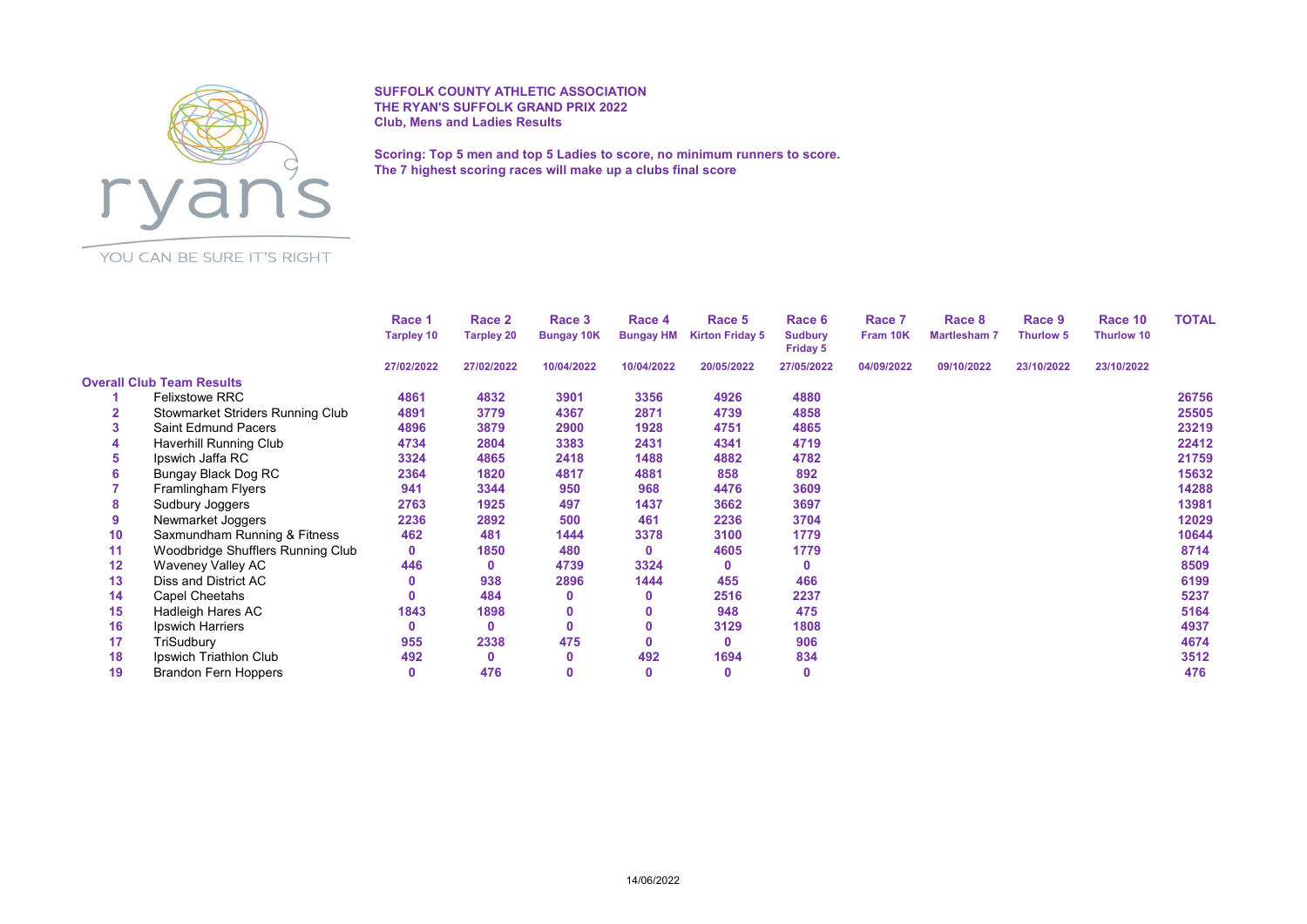

SUFFOLK COUNTY ATHLETIC ASSOCIATION THE RYAN'S SUFFOLK GRAND PRIX 2022 Club, Mens and Ladies Results

Scoring: Top 5 men and top 5 Ladies to score, no minimum runners to score. The 7 highest scoring races will make up a clubs final score

YOU CAN BE SURE IT'S RIGHT

|    |                                   | Race 1<br><b>Tarpley 10</b> | Race 2            | Race 3<br><b>Bungay 10K</b> | Race 4<br><b>Bungay HM</b> | Race 5<br><b>Kirton Friday 5</b> | Race 6<br><b>Sudbury</b><br>Friday 5 | Race 7<br>Fram 10K | Race 8<br><b>Martlesham 7</b> | Race 9<br><b>Thurlow 5</b> | Race 10<br><b>Thurlow 10</b> | <b>TOTAL</b> |
|----|-----------------------------------|-----------------------------|-------------------|-----------------------------|----------------------------|----------------------------------|--------------------------------------|--------------------|-------------------------------|----------------------------|------------------------------|--------------|
|    |                                   |                             | <b>Tarpley 20</b> |                             |                            |                                  |                                      |                    |                               |                            |                              |              |
|    |                                   | 27/02/2022                  | 27/02/2022        | 10/04/2022                  | 10/04/2022                 | 20/05/2022                       | 27/05/2022                           | 04/09/2022         | 09/10/2022                    | 23/10/2022                 | 23/10/2022                   |              |
|    | <b>Overall Club Team Results</b>  |                             |                   |                             |                            |                                  |                                      |                    |                               |                            |                              |              |
|    | <b>Felixstowe RRC</b>             | 4861                        | 4832              | 3901                        | 3356                       | 4926                             | 4880                                 |                    |                               |                            |                              | 26756        |
|    | Stowmarket Striders Running Club  | 4891                        | 3779              | 4367                        | 2871                       | 4739                             | 4858                                 |                    |                               |                            |                              | 25505        |
| 3  | <b>Saint Edmund Pacers</b>        | 4896                        | 3879              | 2900                        | 1928                       | 4751                             | 4865                                 |                    |                               |                            |                              | 23219        |
|    | <b>Haverhill Running Club</b>     | 4734                        | 2804              | 3383                        | 2431                       | 4341                             | 4719                                 |                    |                               |                            |                              | 22412        |
| 5  | Ipswich Jaffa RC                  | 3324                        | 4865              | 2418                        | 1488                       | 4882                             | 4782                                 |                    |                               |                            |                              | 21759        |
| 6  | Bungay Black Dog RC               | 2364                        | 1820              | 4817                        | 4881                       | 858                              | 892                                  |                    |                               |                            |                              | 15632        |
|    | Framlingham Flyers                | 941                         | 3344              | 950                         | 968                        | 4476                             | 3609                                 |                    |                               |                            |                              | 14288        |
| 8  | Sudbury Joggers                   | 2763                        | 1925              | 497                         | 1437                       | 3662                             | 3697                                 |                    |                               |                            |                              | 13981        |
| 9  | Newmarket Joggers                 | 2236                        | 2892              | 500                         | 461                        | 2236                             | 3704                                 |                    |                               |                            |                              | 12029        |
| 10 | Saxmundham Running & Fitness      | 462                         | 481               | 1444                        | 3378                       | 3100                             | 1779                                 |                    |                               |                            |                              | 10644        |
| 11 | Woodbridge Shufflers Running Club | $\mathbf{0}$                | 1850              | 480                         | $\mathbf{0}$               | 4605                             | 1779                                 |                    |                               |                            |                              | 8714         |
| 12 | Waveney Valley AC                 | 446                         | $\mathbf{0}$      | 4739                        | 3324                       | $\mathbf{0}$                     | $\mathbf 0$                          |                    |                               |                            |                              | 8509         |
| 13 | Diss and District AC              |                             | 938               | 2896                        | 1444                       | 455                              | 466                                  |                    |                               |                            |                              | 6199         |
| 14 | Capel Cheetahs                    |                             | 484               | 0                           | $\mathbf{0}$               | 2516                             | 2237                                 |                    |                               |                            |                              | 5237         |
| 15 | Hadleigh Hares AC                 | 1843                        | 1898              | 0                           |                            | 948                              | 475                                  |                    |                               |                            |                              | 5164         |
| 16 | Ipswich Harriers                  | 0                           | 0                 | 0                           | 0                          | 3129                             | 1808                                 |                    |                               |                            |                              | 4937         |
| 17 | TriSudbury                        | 955                         | 2338              | 475                         | $\mathbf{0}$               | $\mathbf 0$                      | 906                                  |                    |                               |                            |                              | 4674         |
| 18 | Ipswich Triathlon Club            | 492                         | $\mathbf 0$       | 0                           | 492                        | 1694                             | 834                                  |                    |                               |                            |                              | 3512         |
| 19 | <b>Brandon Fern Hoppers</b>       | 0                           | 476               | 0                           | $\mathbf{0}$               | $\mathbf 0$                      | $\mathbf 0$                          |                    |                               |                            |                              | 476          |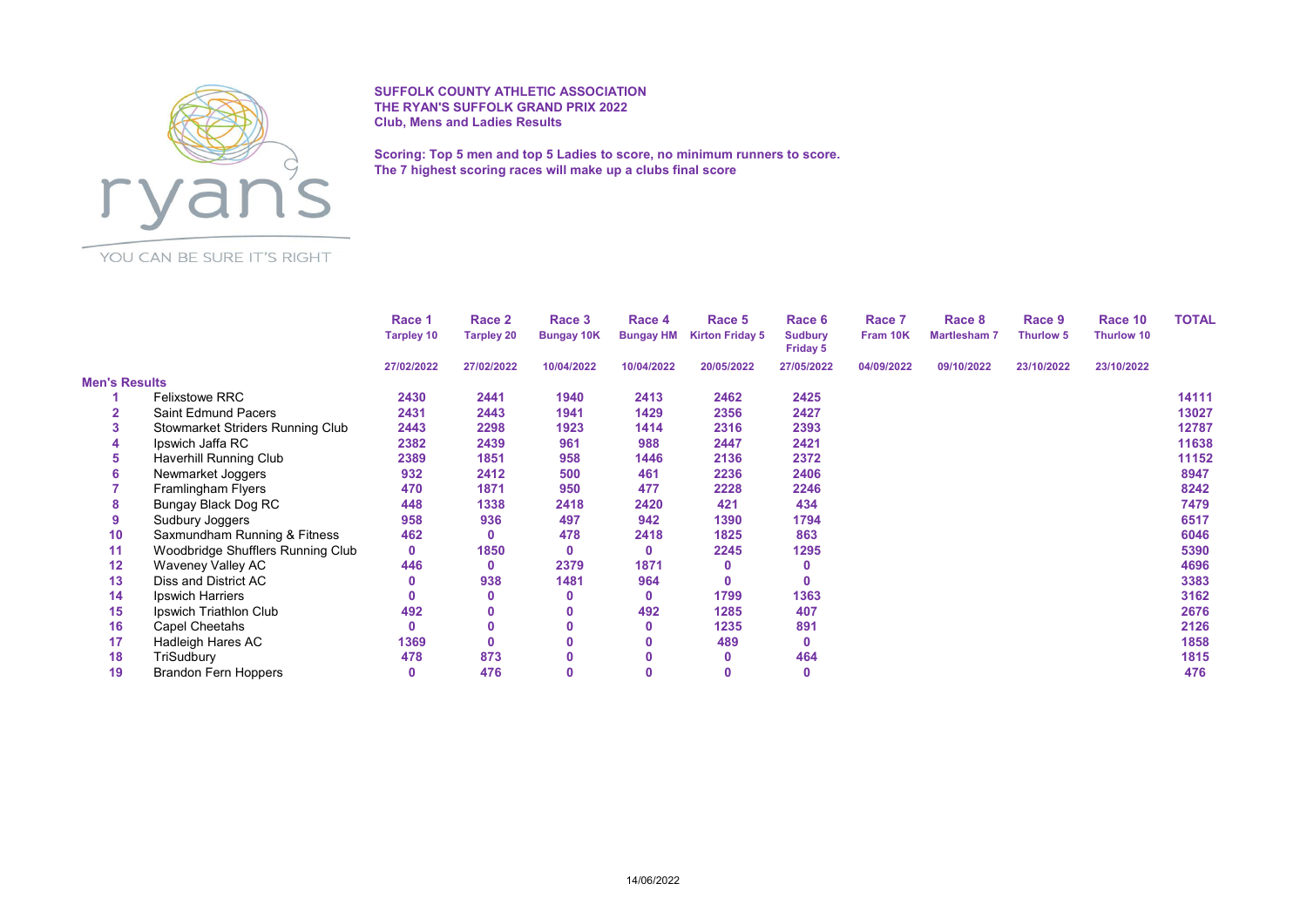

SUFFOLK COUNTY ATHLETIC ASSOCIATION THE RYAN'S SUFFOLK GRAND PRIX 2022 Club, Mens and Ladies Results

Scoring: Top 5 men and top 5 Ladies to score, no minimum runners to score. The 7 highest scoring races will make up a clubs final score

YOU CAN BE SURE IT'S RIGHT

|                      |                                   | Race 1<br><b>Tarpley 10</b> | Race 2            | Race 3<br><b>Bungay 10K</b> | Race 4<br><b>Bungay HM</b> | Race 5<br><b>Kirton Friday 5</b> | Race 6<br><b>Sudbury</b><br><b>Friday 5</b> | Race 7<br>Fram 10K | Race 8<br><b>Martlesham 7</b> | Race 9<br><b>Thurlow 5</b> | Race 10<br>Thurlow 10 | <b>TOTAL</b> |
|----------------------|-----------------------------------|-----------------------------|-------------------|-----------------------------|----------------------------|----------------------------------|---------------------------------------------|--------------------|-------------------------------|----------------------------|-----------------------|--------------|
|                      |                                   |                             | <b>Tarpley 20</b> |                             |                            |                                  |                                             |                    |                               |                            |                       |              |
|                      |                                   | 27/02/2022                  | 27/02/2022        | 10/04/2022                  | 10/04/2022                 | 20/05/2022                       | 27/05/2022                                  | 04/09/2022         | 09/10/2022                    | 23/10/2022                 | 23/10/2022            |              |
| <b>Men's Results</b> |                                   |                             |                   |                             |                            |                                  |                                             |                    |                               |                            |                       |              |
|                      | <b>Felixstowe RRC</b>             | 2430                        | 2441              | 1940                        | 2413                       | 2462                             | 2425                                        |                    |                               |                            |                       | 14111        |
|                      | <b>Saint Edmund Pacers</b>        | 2431                        | 2443              | 1941                        | 1429                       | 2356                             | 2427                                        |                    |                               |                            |                       | 13027        |
| 3                    | Stowmarket Striders Running Club  | 2443                        | 2298              | 1923                        | 1414                       | 2316                             | 2393                                        |                    |                               |                            |                       | 12787        |
| 4                    | Ipswich Jaffa RC                  | 2382                        | 2439              | 961                         | 988                        | 2447                             | 2421                                        |                    |                               |                            |                       | 11638        |
| 5                    | Haverhill Running Club            | 2389                        | 1851              | 958                         | 1446                       | 2136                             | 2372                                        |                    |                               |                            |                       | 11152        |
| 6                    | Newmarket Joggers                 | 932                         | 2412              | 500                         | 461                        | 2236                             | 2406                                        |                    |                               |                            |                       | 8947         |
|                      | Framlingham Flyers                | 470                         | 1871              | 950                         | 477                        | 2228                             | 2246                                        |                    |                               |                            |                       | 8242         |
| 8                    | Bungay Black Dog RC               | 448                         | 1338              | 2418                        | 2420                       | 421                              | 434                                         |                    |                               |                            |                       | 7479         |
| 9                    | Sudbury Joggers                   | 958                         | 936               | 497                         | 942                        | 1390                             | 1794                                        |                    |                               |                            |                       | 6517         |
| 10                   | Saxmundham Running & Fitness      | 462                         | 0                 | 478                         | 2418                       | 1825                             | 863                                         |                    |                               |                            |                       | 6046         |
| 11                   | Woodbridge Shufflers Running Club | $\mathbf{0}$                | 1850              | 0                           | 0                          | 2245                             | 1295                                        |                    |                               |                            |                       | 5390         |
| 12                   | Waveney Valley AC                 | 446                         | $\mathbf 0$       | 2379                        | 1871                       | $\mathbf 0$                      | 0                                           |                    |                               |                            |                       | 4696         |
| 13                   | Diss and District AC              |                             | 938               | 1481                        | 964                        | $\mathbf 0$                      | $\Omega$                                    |                    |                               |                            |                       | 3383         |
| 14                   | Ipswich Harriers                  |                             | $\mathbf{0}$      | 0                           | 0                          | 1799                             | 1363                                        |                    |                               |                            |                       | 3162         |
| 15                   | Ipswich Triathlon Club            | 492                         | $\mathbf 0$       |                             | 492                        | 1285                             | 407                                         |                    |                               |                            |                       | 2676         |
| 16                   | Capel Cheetahs                    | n                           | $\mathbf{0}$      |                             | $\mathbf{0}$               | 1235                             | 891                                         |                    |                               |                            |                       | 2126         |
| 17                   | Hadleigh Hares AC                 | 1369                        | $\mathbf{0}$      |                             |                            | 489                              | $\Omega$                                    |                    |                               |                            |                       | 1858         |
| 18                   | TriSudbury                        | 478                         | 873               |                             |                            | $\bf{0}$                         | 464                                         |                    |                               |                            |                       | 1815         |
| 19                   | <b>Brandon Fern Hoppers</b>       | 0                           | 476               |                             |                            | $\mathbf{0}$                     | $\mathbf 0$                                 |                    |                               |                            |                       | 476          |